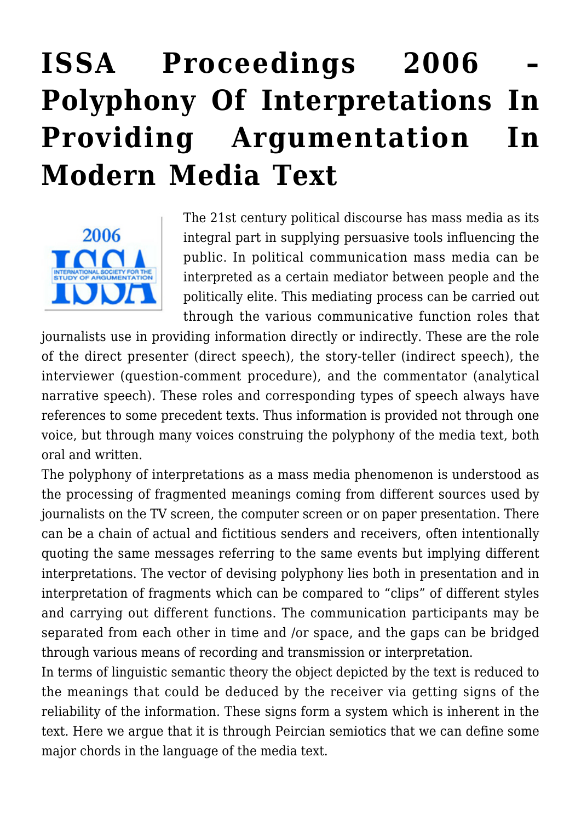## **[ISSA Proceedings 2006 –](https://rozenbergquarterly.com/issa-proceedings-2006-polyphony-of-interpretations-in-providing-argumentation-in-modern-media-text/) [Polyphony Of Interpretations In](https://rozenbergquarterly.com/issa-proceedings-2006-polyphony-of-interpretations-in-providing-argumentation-in-modern-media-text/) [Providing Argumentation In](https://rozenbergquarterly.com/issa-proceedings-2006-polyphony-of-interpretations-in-providing-argumentation-in-modern-media-text/) [Modern Media Text](https://rozenbergquarterly.com/issa-proceedings-2006-polyphony-of-interpretations-in-providing-argumentation-in-modern-media-text/)**



The 21st century political discourse has mass media as its integral part in supplying persuasive tools influencing the public. In political communication mass media can be interpreted as a certain mediator between people and the politically elite. This mediating process can be carried out through the various communicative function roles that

journalists use in providing information directly or indirectly. These are the role of the direct presenter (direct speech), the story-teller (indirect speech), the interviewer (question-comment procedure), and the commentator (analytical narrative speech). These roles and corresponding types of speech always have references to some precedent texts. Thus information is provided not through one voice, but through many voices construing the polyphony of the media text, both oral and written.

The polyphony of interpretations as a mass media phenomenon is understood as the processing of fragmented meanings coming from different sources used by journalists on the TV screen, the computer screen or on paper presentation. There can be a chain of actual and fictitious senders and receivers, often intentionally quoting the same messages referring to the same events but implying different interpretations. The vector of devising polyphony lies both in presentation and in interpretation of fragments which can be compared to "clips" of different styles and carrying out different functions. The communication participants may be separated from each other in time and /or space, and the gaps can be bridged through various means of recording and transmission or interpretation.

In terms of linguistic semantic theory the object depicted by the text is reduced to the meanings that could be deduced by the receiver via getting signs of the reliability of the information. These signs form a system which is inherent in the text. Here we argue that it is through Peircian semiotics that we can define some major chords in the language of the media text.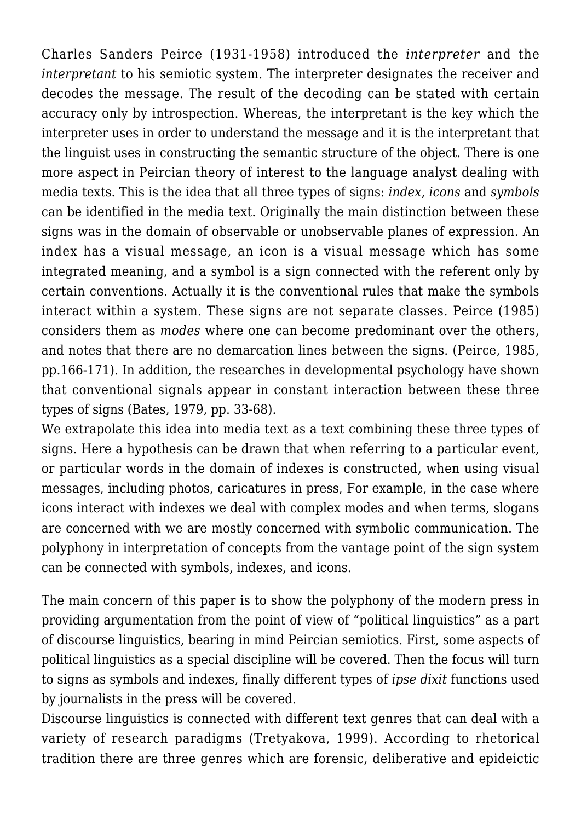Charles Sanders Peirce (1931-1958) introduced the *interpreter* and the *interpretant* to his semiotic system. The interpreter designates the receiver and decodes the message. The result of the decoding can be stated with certain accuracy only by introspection. Whereas, the interpretant is the key which the interpreter uses in order to understand the message and it is the interpretant that the linguist uses in constructing the semantic structure of the object. There is one more aspect in Peircian theory of interest to the language analyst dealing with media texts. This is the idea that all three types of signs: *index, icons* and *symbols* can be identified in the media text. Originally the main distinction between these signs was in the domain of observable or unobservable planes of expression. An index has a visual message, an icon is a visual message which has some integrated meaning, and a symbol is a sign connected with the referent only by certain conventions. Actually it is the conventional rules that make the symbols interact within a system. These signs are not separate classes. Peirce (1985) considers them as *modes* where one can become predominant over the others, and notes that there are no demarcation lines between the signs. (Peirce, 1985, pp.166-171). In addition, the researches in developmental psychology have shown that conventional signals appear in constant interaction between these three types of signs (Bates, 1979, pp. 33-68).

We extrapolate this idea into media text as a text combining these three types of signs. Here a hypothesis can be drawn that when referring to a particular event, or particular words in the domain of indexes is constructed, when using visual messages, including photos, caricatures in press, For example, in the case where icons interact with indexes we deal with complex modes and when terms, slogans are concerned with we are mostly concerned with symbolic communication. The polyphony in interpretation of concepts from the vantage point of the sign system can be connected with symbols, indexes, and icons.

The main concern of this paper is to show the polyphony of the modern press in providing argumentation from the point of view of "political linguistics" as a part of discourse linguistics, bearing in mind Peircian semiotics. First, some aspects of political linguistics as a special discipline will be covered. Then the focus will turn to signs as symbols and indexes, finally different types of *ipse dixit* functions used by journalists in the press will be covered.

Discourse linguistics is connected with different text genres that can deal with a variety of research paradigms (Tretyakova, 1999). According to rhetorical tradition there are three genres which are forensic, deliberative and epideictic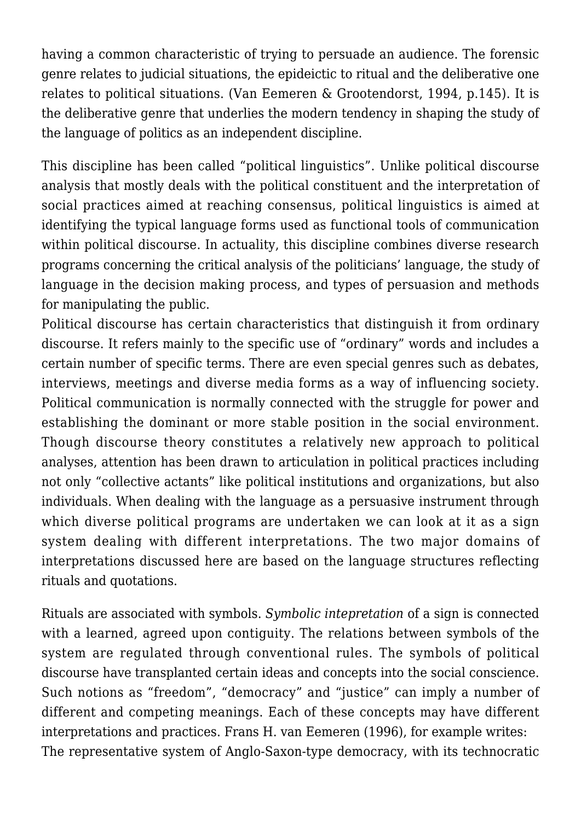having a common characteristic of trying to persuade an audience. The forensic genre relates to judicial situations, the epideictic to ritual and the deliberative one relates to political situations. (Van Eemeren & Grootendorst, 1994, p.145). It is the deliberative genre that underlies the modern tendency in shaping the study of the language of politics as an independent discipline.

This discipline has been called "political linguistics". Unlike political discourse analysis that mostly deals with the political constituent and the interpretation of social practices aimed at reaching consensus, political linguistics is aimed at identifying the typical language forms used as functional tools of communication within political discourse. In actuality, this discipline combines diverse research programs concerning the critical analysis of the politicians' language, the study of language in the decision making process, and types of persuasion and methods for manipulating the public.

Political discourse has certain characteristics that distinguish it from ordinary discourse. It refers mainly to the specific use of "ordinary" words and includes a certain number of specific terms. There are even special genres such as debates, interviews, meetings and diverse media forms as a way of influencing society. Political communication is normally connected with the struggle for power and establishing the dominant or more stable position in the social environment. Though discourse theory constitutes a relatively new approach to political analyses, attention has been drawn to articulation in political practices including not only "collective actants" like political institutions and organizations, but also individuals. When dealing with the language as a persuasive instrument through which diverse political programs are undertaken we can look at it as a sign system dealing with different interpretations. The two major domains of interpretations discussed here are based on the language structures reflecting rituals and quotations.

Rituals are associated with symbols. *Symbolic intepretation* of a sign is connected with a learned, agreed upon contiguity. The relations between symbols of the system are regulated through conventional rules. The symbols of political discourse have transplanted certain ideas and concepts into the social conscience. Such notions as "freedom", "democracy" and "justice" can imply a number of different and competing meanings. Each of these concepts may have different interpretations and practices. Frans H. van Eemeren (1996), for example writes: The representative system of Anglo-Saxon-type democracy, with its technocratic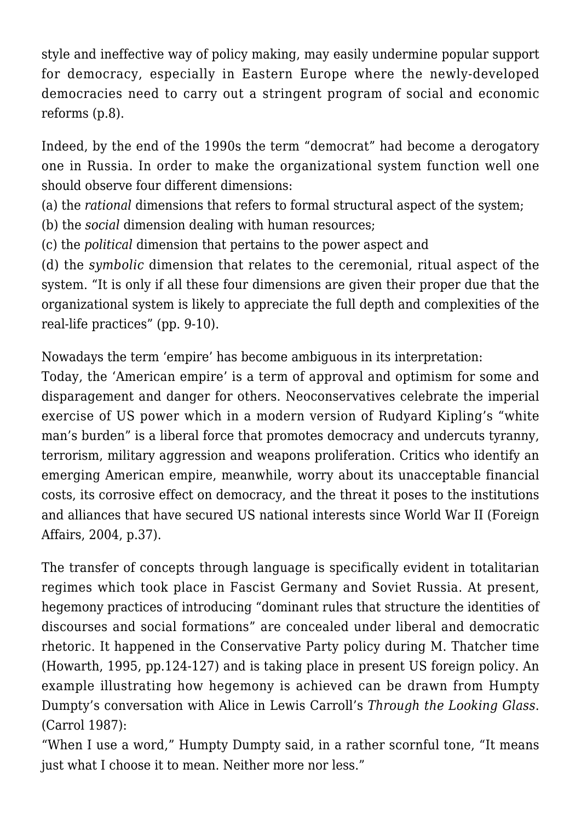style and ineffective way of policy making, may easily undermine popular support for democracy, especially in Eastern Europe where the newly-developed democracies need to carry out a stringent program of social and economic reforms (p.8).

Indeed, by the end of the 1990s the term "democrat" had become a derogatory one in Russia. In order to make the organizational system function well one should observe four different dimensions:

(a) the *rational* dimensions that refers to formal structural aspect of the system;

(b) the *social* dimension dealing with human resources;

(c) the *political* dimension that pertains to the power aspect and

(d) the *symbolic* dimension that relates to the ceremonial, ritual aspect of the system. "It is only if all these four dimensions are given their proper due that the organizational system is likely to appreciate the full depth and complexities of the real-life practices" (pp. 9-10).

Nowadays the term 'empire' has become ambiguous in its interpretation:

Today, the 'American empire' is a term of approval and optimism for some and disparagement and danger for others. Neoconservatives celebrate the imperial exercise of US power which in a modern version of Rudyard Kipling's "white man's burden" is a liberal force that promotes democracy and undercuts tyranny, terrorism, military aggression and weapons proliferation. Critics who identify an emerging American empire, meanwhile, worry about its unacceptable financial costs, its corrosive effect on democracy, and the threat it poses to the institutions and alliances that have secured US national interests since World War II (Foreign Affairs, 2004, p.37).

The transfer of concepts through language is specifically evident in totalitarian regimes which took place in Fascist Germany and Soviet Russia. At present, hegemony practices of introducing "dominant rules that structure the identities of discourses and social formations" are concealed under liberal and democratic rhetoric. It happened in the Conservative Party policy during M. Thatcher time (Howarth, 1995, pp.124-127) and is taking place in present US foreign policy. An example illustrating how hegemony is achieved can be drawn from Humpty Dumpty's conversation with Alice in Lewis Carroll's *Through the Looking Glass*. (Carrol 1987):

"When I use a word," Humpty Dumpty said, in a rather scornful tone, "It means just what I choose it to mean. Neither more nor less."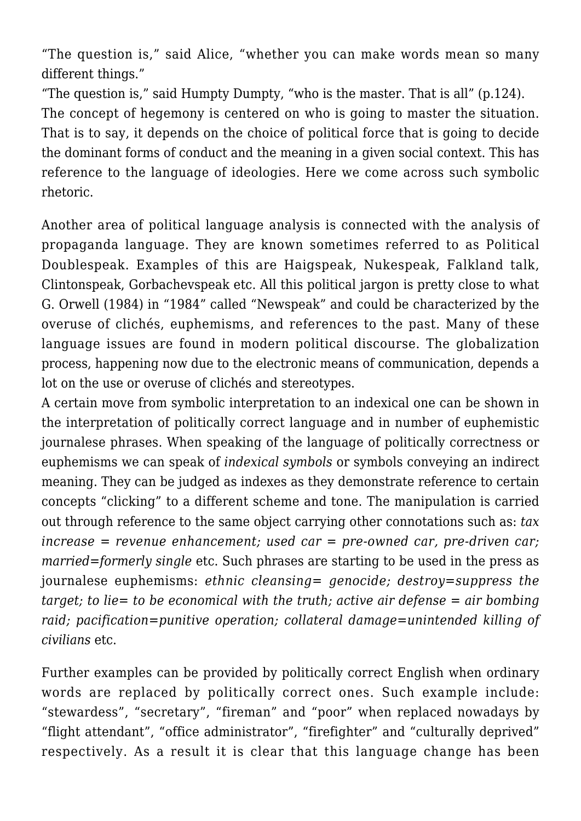"The question is," said Alice, "whether you can make words mean so many different things."

"The question is," said Humpty Dumpty, "who is the master. That is all" (p.124). The concept of hegemony is centered on who is going to master the situation. That is to say, it depends on the choice of political force that is going to decide the dominant forms of conduct and the meaning in a given social context. This has reference to the language of ideologies. Here we come across such symbolic rhetoric.

Another area of political language analysis is connected with the analysis of propaganda language. They are known sometimes referred to as Political Doublespeak. Examples of this are Haigspeak, Nukespeak, Falkland talk, Clintonspeak, Gorbachevspeak etc. All this political jargon is pretty close to what G. Orwell (1984) in "1984" called "Newspeak" and could be characterized by the overuse of clichés, euphemisms, and references to the past. Many of these language issues are found in modern political discourse. The globalization process, happening now due to the electronic means of communication, depends a lot on the use or overuse of clichés and stereotypes.

A certain move from symbolic interpretation to an indexical one can be shown in the interpretation of politically correct language and in number of euphemistic journalese phrases. When speaking of the language of politically correctness or euphemisms we can speak of *indexical symbols* or symbols conveying an indirect meaning. They can be judged as indexes as they demonstrate reference to certain concepts "clicking" to a different scheme and tone. The manipulation is carried out through reference to the same object carrying other connotations such as: *tax increase = revenue enhancement; used car = pre-owned car, pre-driven car; married=formerly single* etc. Such phrases are starting to be used in the press as journalese euphemisms: *ethnic cleansing= genocide; destroy=suppress the target; to lie= to be economical with the truth; active air defense = air bombing raid; pacification=punitive operation; collateral damage=unintended killing of civilians* etc.

Further examples can be provided by politically correct English when ordinary words are replaced by politically correct ones. Such example include: "stewardess", "secretary", "fireman" and "poor" when replaced nowadays by "flight attendant", "office administrator", "firefighter" and "culturally deprived" respectively. As a result it is clear that this language change has been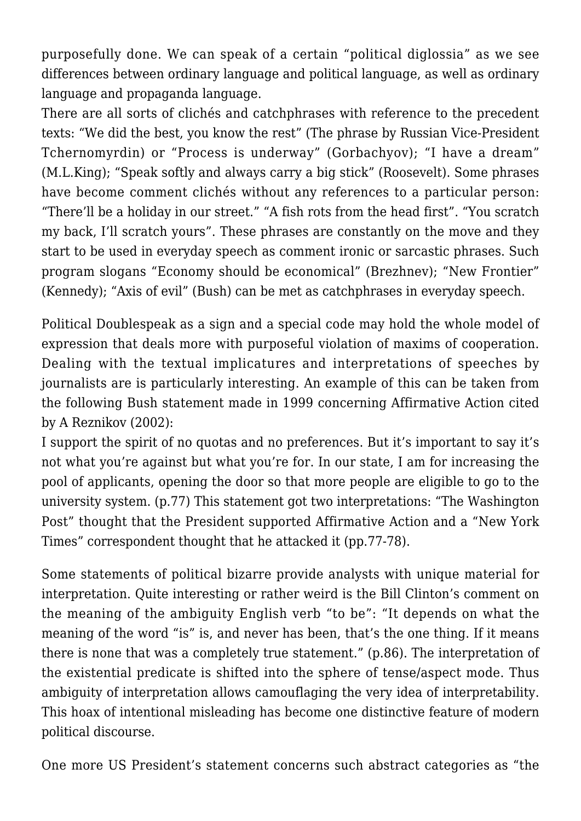purposefully done. We can speak of a certain "political diglossia" as we see differences between ordinary language and political language, as well as ordinary language and propaganda language.

There are all sorts of clichés and catchphrases with reference to the precedent texts: "We did the best, you know the rest" (The phrase by Russian Vice-President Tchernomyrdin) or "Process is underway" (Gorbachyov); "I have a dream" (M.L.King); "Speak softly and always carry a big stick" (Roosevelt). Some phrases have become comment clichés without any references to a particular person: "There'll be a holiday in our street." "A fish rots from the head first". "You scratch my back, I'll scratch yours". These phrases are constantly on the move and they start to be used in everyday speech as comment ironic or sarcastic phrases. Such program slogans "Economy should be economical" (Brezhnev); "New Frontier" (Kennedy); "Axis of evil" (Bush) can be met as catchphrases in everyday speech.

Political Doublespeak as a sign and a special code may hold the whole model of expression that deals more with purposeful violation of maxims of cooperation. Dealing with the textual implicatures and interpretations of speeches by journalists are is particularly interesting. An example of this can be taken from the following Bush statement made in 1999 concerning Affirmative Action cited by A Reznikov (2002):

I support the spirit of no quotas and no preferences. But it's important to say it's not what you're against but what you're for. In our state, I am for increasing the pool of applicants, opening the door so that more people are eligible to go to the university system. (p.77) This statement got two interpretations: "The Washington Post" thought that the President supported Affirmative Action and a "New York Times" correspondent thought that he attacked it (pp.77-78).

Some statements of political bizarre provide analysts with unique material for interpretation. Quite interesting or rather weird is the Bill Clinton's comment on the meaning of the ambiguity English verb "to be": "It depends on what the meaning of the word "is" is, and never has been, that's the one thing. If it means there is none that was a completely true statement." (p.86). The interpretation of the existential predicate is shifted into the sphere of tense/aspect mode. Thus ambiguity of interpretation allows camouflaging the very idea of interpretability. This hoax of intentional misleading has become one distinctive feature of modern political discourse.

One more US President's statement concerns such abstract categories as "the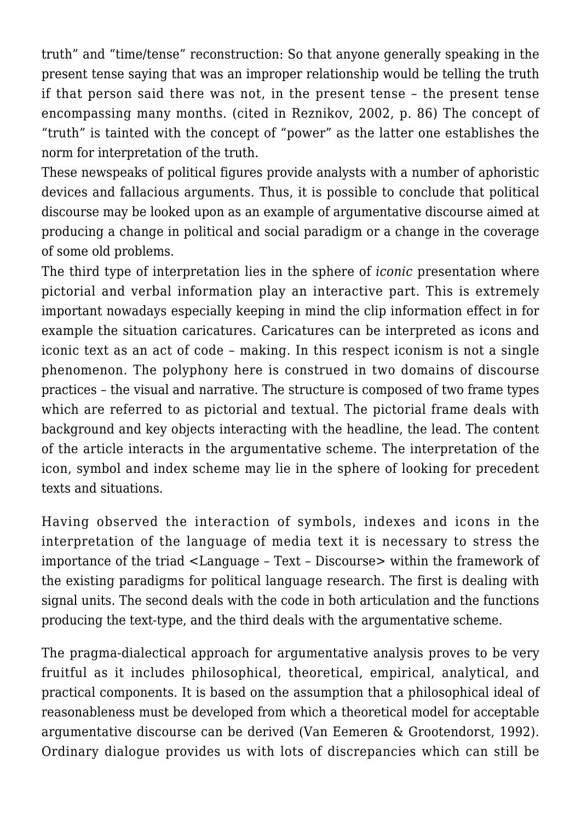truth" and "time/tense" reconstruction: So that anyone generally speaking in the present tense saying that was an improper relationship would be telling the truth if that person said there was not, in the present tense – the present tense encompassing many months. (cited in Reznikov, 2002, p. 86) The concept of "truth" is tainted with the concept of "power" as the latter one establishes the norm for interpretation of the truth.

These newspeaks of political figures provide analysts with a number of aphoristic devices and fallacious arguments. Thus, it is possible to conclude that political discourse may be looked upon as an example of argumentative discourse aimed at producing a change in political and social paradigm or a change in the coverage of some old problems.

The third type of interpretation lies in the sphere of *iconic* presentation where pictorial and verbal information play an interactive part. This is extremely important nowadays especially keeping in mind the clip information effect in for example the situation caricatures. Caricatures can be interpreted as icons and iconic text as an act of code – making. In this respect iconism is not a single phenomenon. The polyphony here is construed in two domains of discourse practices – the visual and narrative. The structure is composed of two frame types which are referred to as pictorial and textual. The pictorial frame deals with background and key objects interacting with the headline, the lead. The content of the article interacts in the argumentative scheme. The interpretation of the icon, symbol and index scheme may lie in the sphere of looking for precedent texts and situations.

Having observed the interaction of symbols, indexes and icons in the interpretation of the language of media text it is necessary to stress the importance of the triad <Language – Text – Discourse> within the framework of the existing paradigms for political language research. The first is dealing with signal units. The second deals with the code in both articulation and the functions producing the text-type, and the third deals with the argumentative scheme.

The pragma-dialectical approach for argumentative analysis proves to be very fruitful as it includes philosophical, theoretical, empirical, analytical, and practical components. It is based on the assumption that a philosophical ideal of reasonableness must be developed from which a theoretical model for acceptable argumentative discourse can be derived (Van Eemeren & Grootendorst, 1992). Ordinary dialogue provides us with lots of discrepancies which can still be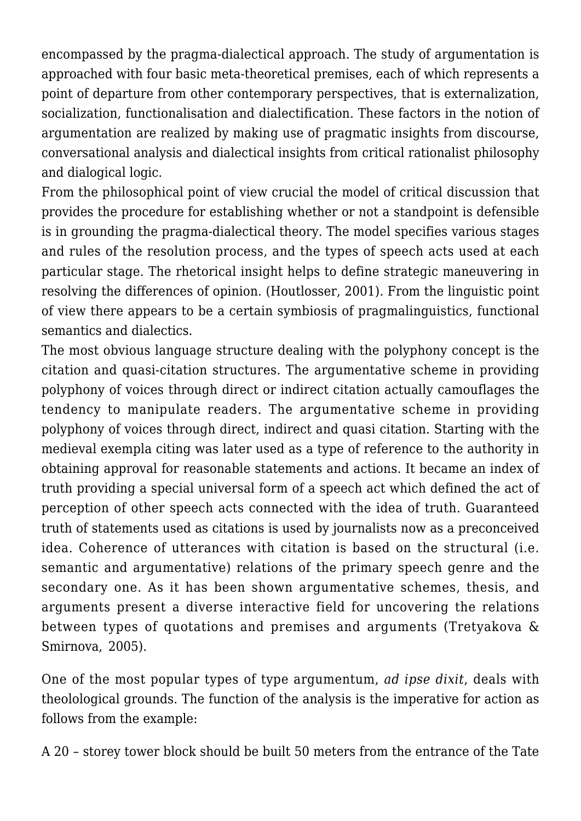encompassed by the pragma-dialectical approach. The study of argumentation is approached with four basic meta-theoretical premises, each of which represents a point of departure from other contemporary perspectives, that is externalization, socialization, functionalisation and dialectification. These factors in the notion of argumentation are realized by making use of pragmatic insights from discourse, conversational analysis and dialectical insights from critical rationalist philosophy and dialogical logic.

From the philosophical point of view crucial the model of critical discussion that provides the procedure for establishing whether or not a standpoint is defensible is in grounding the pragma-dialectical theory. The model specifies various stages and rules of the resolution process, and the types of speech acts used at each particular stage. The rhetorical insight helps to define strategic maneuvering in resolving the differences of opinion. (Houtlosser, 2001). From the linguistic point of view there appears to be a certain symbiosis of pragmalinguistics, functional semantics and dialectics.

The most obvious language structure dealing with the polyphony concept is the citation and quasi-citation structures. The argumentative scheme in providing polyphony of voices through direct or indirect citation actually camouflages the tendency to manipulate readers. The argumentative scheme in providing polyphony of voices through direct, indirect and quasi citation. Starting with the medieval exempla citing was later used as a type of reference to the authority in obtaining approval for reasonable statements and actions. It became an index of truth providing a special universal form of a speech act which defined the act of perception of other speech acts connected with the idea of truth. Guaranteed truth of statements used as citations is used by journalists now as a preconceived idea. Coherence of utterances with citation is based on the structural (i.e. semantic and argumentative) relations of the primary speech genre and the secondary one. As it has been shown argumentative schemes, thesis, and arguments present a diverse interactive field for uncovering the relations between types of quotations and premises and arguments (Tretyakova & Smirnova, 2005).

One of the most popular types of type argumentum, *ad ipse dixit*, deals with theolological grounds. The function of the analysis is the imperative for action as follows from the example:

A 20 – storey tower block should be built 50 meters from the entrance of the Tate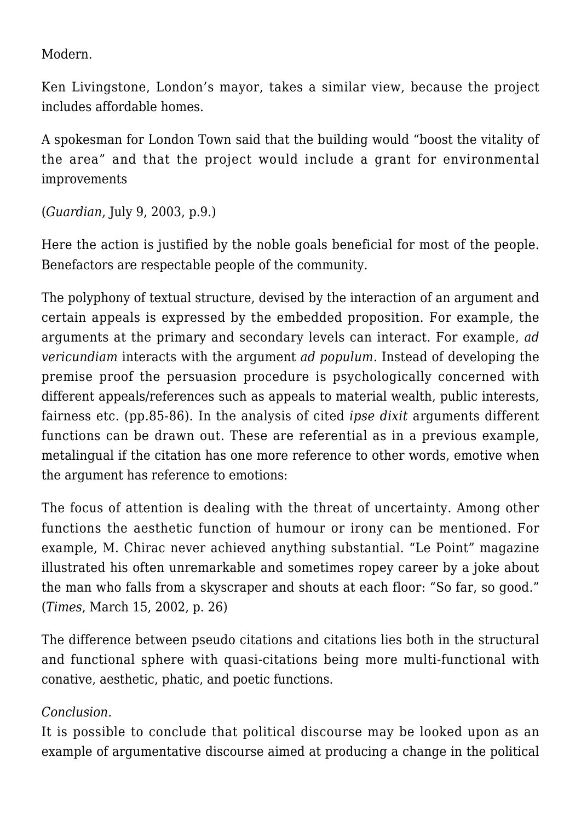Modern.

Ken Livingstone, London's mayor, takes a similar view, because the project includes affordable homes.

A spokesman for London Town said that the building would "boost the vitality of the area" and that the project would include a grant for environmental improvements

(*Guardian*, July 9, 2003, p.9.)

Here the action is justified by the noble goals beneficial for most of the people. Benefactors are respectable people of the community.

The polyphony of textual structure, devised by the interaction of an argument and certain appeals is expressed by the embedded proposition. For example, the arguments at the primary and secondary levels can interact. For example, *ad vericundiam* interacts with the argument *ad populum*. Instead of developing the premise proof the persuasion procedure is psychologically concerned with different appeals/references such as appeals to material wealth, public interests, fairness etc. (pp.85-86). In the analysis of cited *ipse dixit* arguments different functions can be drawn out. These are referential as in a previous example, metalingual if the citation has one more reference to other words, emotive when the argument has reference to emotions:

The focus of attention is dealing with the threat of uncertainty. Among other functions the aesthetic function of humour or irony can be mentioned. For example, M. Chirac never achieved anything substantial. "Le Point" magazine illustrated his often unremarkable and sometimes ropey career by a joke about the man who falls from a skyscraper and shouts at each floor: "So far, so good." (*Times*, March 15, 2002, p. 26)

The difference between pseudo citations and citations lies both in the structural and functional sphere with quasi-citations being more multi-functional with conative, aesthetic, phatic, and poetic functions.

## *Conclusion.*

It is possible to conclude that political discourse may be looked upon as an example of argumentative discourse aimed at producing a change in the political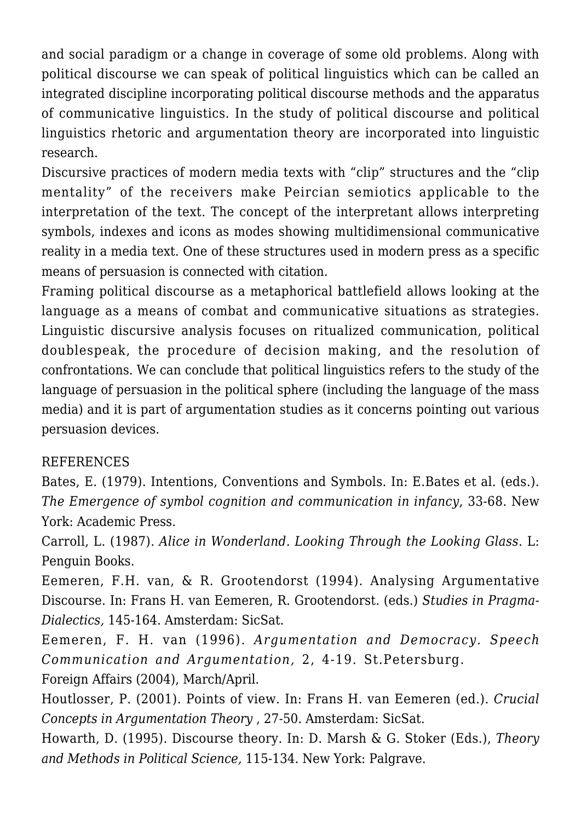and social paradigm or a change in coverage of some old problems. Along with political discourse we can speak of political linguistics which can be called an integrated discipline incorporating political discourse methods and the apparatus of communicative linguistics. In the study of political discourse and political linguistics rhetoric and argumentation theory are incorporated into linguistic research.

Discursive practices of modern media texts with "clip" structures and the "clip mentality" of the receivers make Peircian semiotics applicable to the interpretation of the text. The concept of the interpretant allows interpreting symbols, indexes and icons as modes showing multidimensional communicative reality in a media text. One of these structures used in modern press as a specific means of persuasion is connected with citation.

Framing political discourse as a metaphorical battlefield allows looking at the language as a means of combat and communicative situations as strategies. Linguistic discursive analysis focuses on ritualized communication, political doublespeak, the procedure of decision making, and the resolution of confrontations. We can conclude that political linguistics refers to the study of the language of persuasion in the political sphere (including the language of the mass media) and it is part of argumentation studies as it concerns pointing out various persuasion devices.

## **REFERENCES**

Bates, E. (1979). Intentions, Conventions and Symbols. In: E.Bates et al. (eds.). *The Emergence of symbol cognition and communication in infancy*, 33-68. New York: Academic Press.

Carroll, L. (1987). *Alice in Wonderland. Looking Through the Looking Glass*. L: Penguin Books.

Eemeren, F.H. van, & R. Grootendorst (1994). Analysing Argumentative Discourse. In: Frans H. van Eemeren, R. Grootendorst. (eds.) *Studies in Pragma-Dialectics,* 145-164. Amsterdam: SicSat.

Eemeren, F. H. van (1996). *Argumentation and Democracy. Speech Communication and Argumentation,* 2, 4-19. St.Petersburg.

Foreign Affairs (2004), March/April.

Houtlosser, P. (2001). Points of view. In: Frans H. van Eemeren (ed.). *Crucial Concepts in Argumentation Theory* , 27-50. Amsterdam: SicSat.

Howarth, D. (1995). Discourse theory. In: D. Marsh & G. Stoker (Eds.), *Theory and Methods in Political Science,* 115-134. New York: Palgrave.